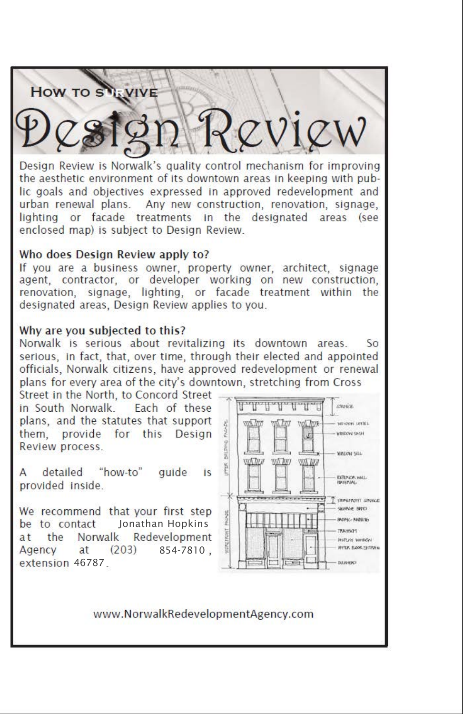# **How TO S**

Design Review is Norwalk's quality control mechanism for improving the aesthetic environment of its downtown areas in keeping with public goals and objectives expressed in approved redevelopment and urban renewal plans. Any new construction, renovation, signage, lighting or facade treatments in the designated areas (see enclosed map) is subject to Design Review.

#### Who does Design Review apply to?

If you are a business owner, property owner, architect, signage agent, contractor, or developer working on new construction, renovation, signage, lighting, or facade treatment within the designated areas, Design Review applies to you.

#### Why are you subjected to this?

Norwalk is serious about revitalizing its downtown areas.  $50^{\circ}$ serious. in fact, that, over time, through their elected and appointed officials, Norwalk citizens, have approved redevelopment or renewal plans for every area of the city's downtown, stretching from Cross

Street in the North, to Concord Street in South Norwalk. Each of these plans, and the statutes that support them, provide for this Design Review process.

"how-to" Δ detailed quide **is** provided inside.

We recommend that your first step Jonathan Hopkins be to contact Norwalk Redevelopment the at Agency  $at$  $(203)$ 854-7810. extension 46787



www.NorwalkRedevelopmentAgency.com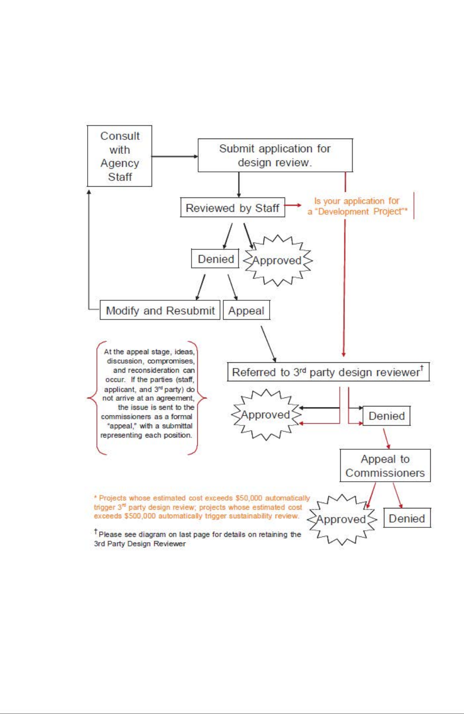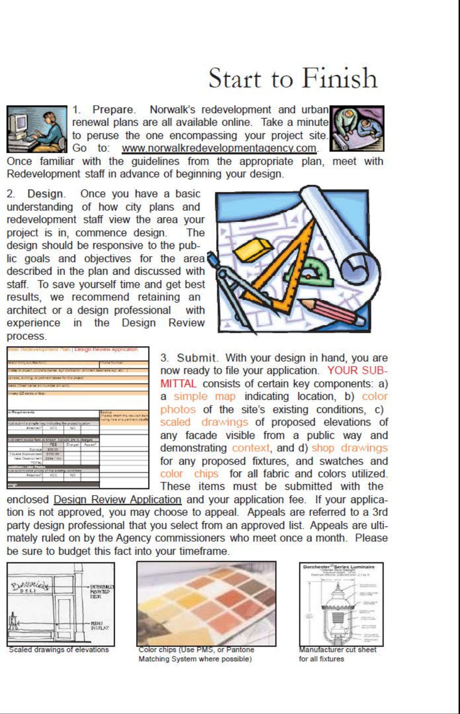## Start to Finish



Prepare. Norwalk's redevelopment and urban  $1$ renewal plans are all available online. Take a minute to peruse the one encompassing your project site. Go to: www.norwalkredevelopmentagency.com.



Once familiar with the guidelines from the appropriate plan, meet with Redevelopment staff in advance of beginning your design.

 $\overline{2}$ Design. Once you have a basic understanding of how city plans and redevelopment staff view the area your project is in, commence design. **The** design should be responsive to the public goals and objectives for the area described in the plan and discussed with staff. To save yourself time and get best results, we recommend retaining an architect or a design professional with experience in the Design Review process.





3. Submit. With your design in hand, you are now ready to file your application. YOUR SUB-MITTAL consists of certain key components: a) a simple map indicating location, b) color photos of the site's existing conditions. c) scaled drawings of proposed elevations of any facade visible from a public way and demonstrating context, and d) shop drawings for any proposed fixtures, and swatches and color chips for all fabric and colors utilized. These items must be submitted with the

enclosed Design Review Application and your application fee. If your application is not approved, you may choose to appeal. Appeals are referred to a 3rd party design professional that you select from an approved list. Appeals are ultimately ruled on by the Agency commissioners who meet once a month. Please be sure to budget this fact into your timeframe.



Scaled drawings of elevations



Color chips (Use PMS, or Pantone Matching System where possible)



Manufacturer cut sheet for all fixtures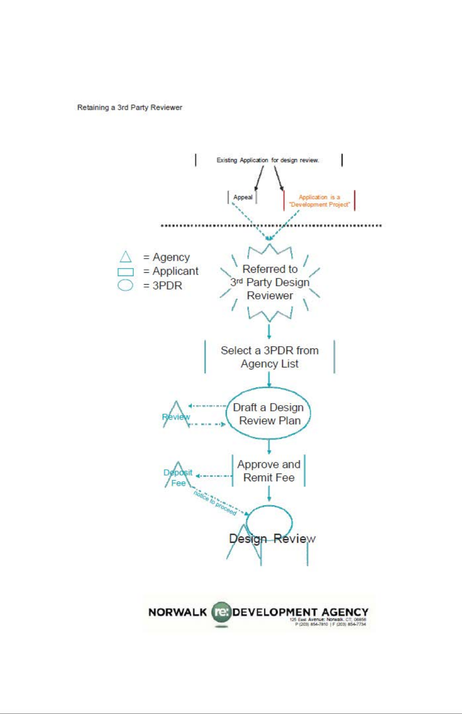Retaining a 3rd Party Reviewer